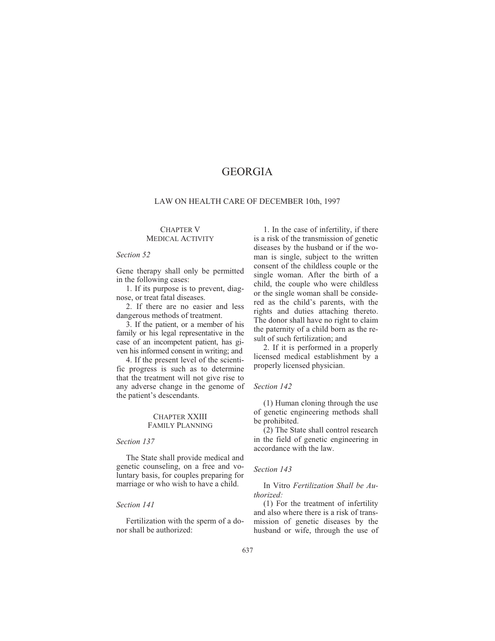# GEORGIA

# LAW ON HEALTH CARE OF DECEMBER 10th, 1997

#### CHAPTER V MEDICAL ACTIVITY

# *Section 52*

Gene therapy shall only be permitted in the following cases:

1. If its purpose is to prevent, diagnose, or treat fatal diseases.

2. If there are no easier and less dangerous methods of treatment.

3. If the patient, or a member of his family or his legal representative in the case of an incompetent patient, has given his informed consent in writing; and

4. If the present level of the scientific progress is such as to determine that the treatment will not give rise to any adverse change in the genome of the patient's descendants.

# CHAPTER XXIII FAMILY PLANNING

# *Section 137*

The State shall provide medical and genetic counseling, on a free and voluntary basis, for couples preparing for marriage or who wish to have a child.

#### *Section 141*

Fertilization with the sperm of a donor shall be authorized:

1. In the case of infertility, if there is a risk of the transmission of genetic diseases by the husband or if the woman is single, subject to the written consent of the childless couple or the single woman. After the birth of a child, the couple who were childless or the single woman shall be considered as the child's parents, with the rights and duties attaching thereto. The donor shall have no right to claim the paternity of a child born as the result of such fertilization; and

2. If it is performed in a properly licensed medical establishment by a properly licensed physician.

# *Section 142*

(1) Human cloning through the use of genetic engineering methods shall be prohibited.

(2) The State shall control research in the field of genetic engineering in accordance with the law.

#### *Section 143*

In Vitro *Fertilization Shall be Authorized:*

(1) For the treatment of infertility and also where there is a risk of transmission of genetic diseases by the husband or wife, through the use of